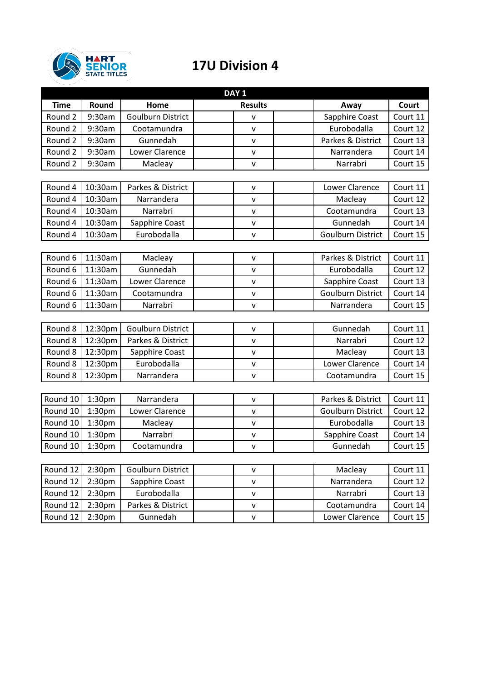

## **17U Division 4**

| DAY <sub>1</sub>   |                    |                          |                |                                      |          |  |  |
|--------------------|--------------------|--------------------------|----------------|--------------------------------------|----------|--|--|
| <b>Time</b>        | Round              | Home                     | <b>Results</b> | Away<br>Court                        |          |  |  |
| Round <sub>2</sub> | 9:30am             | <b>Goulburn District</b> | v              | Sapphire Coast<br>Court 11           |          |  |  |
| Round 2            | 9:30am             | Cootamundra              | $\mathsf{v}$   | Eurobodalla<br>Court 12              |          |  |  |
| Round <sub>2</sub> | 9:30am             | Gunnedah                 | v              | Parkes & District<br>Court 13        |          |  |  |
| Round 2            | 9:30am             | Lower Clarence           | V              | Narrandera<br>Court 14               |          |  |  |
| Round 2            | 9:30am             | Macleay                  | v              | Court 15<br>Narrabri                 |          |  |  |
|                    |                    |                          |                |                                      |          |  |  |
| Round 4            | 10:30am            | Parkes & District        | v              | Lower Clarence<br>Court 11           |          |  |  |
| Round 4            | 10:30am            | Narrandera               | V              | Court 12<br>Macleay                  |          |  |  |
| Round 4            | 10:30am            | Narrabri                 | V              | Cootamundra<br>Court 13              |          |  |  |
| Round 4            | 10:30am            | Sapphire Coast           | V              | Gunnedah<br>Court 14                 |          |  |  |
| Round 4            | 10:30am            | Eurobodalla              | V              | <b>Goulburn District</b><br>Court 15 |          |  |  |
|                    |                    |                          |                |                                      |          |  |  |
| Round 6            | 11:30am            | Macleay                  | V              | Parkes & District<br>Court 11        |          |  |  |
| Round 6            | 11:30am            | Gunnedah                 | V              | Eurobodalla<br>Court 12              |          |  |  |
| Round 6            | 11:30am            | Lower Clarence           | V              | Sapphire Coast<br>Court 13           |          |  |  |
| Round 6            | 11:30am            | Cootamundra              | v              | <b>Goulburn District</b><br>Court 14 |          |  |  |
| Round 6            | 11:30am            | Narrabri                 | v              | Court 15<br>Narrandera               |          |  |  |
|                    |                    |                          |                |                                      |          |  |  |
| Round 8            | 12:30pm            | <b>Goulburn District</b> | V              | Gunnedah<br>Court 11                 |          |  |  |
| Round 8            | 12:30pm            | Parkes & District        | v              | Narrabri<br>Court 12                 |          |  |  |
| Round 8            | 12:30pm            | Sapphire Coast           | V              | Macleay<br>Court 13                  |          |  |  |
| Round 8            | 12:30pm            | Eurobodalla              | V              | <b>Lower Clarence</b><br>Court 14    |          |  |  |
| Round 8            | 12:30pm            | Narrandera               | v              | Court 15<br>Cootamundra              |          |  |  |
|                    |                    |                          |                |                                      |          |  |  |
| Round 10           | 1:30pm             | Narrandera               | ٧              | Court 11<br>Parkes & District        |          |  |  |
| Round 10           | 1:30 <sub>pm</sub> | Lower Clarence           | v              | Court 12<br><b>Goulburn District</b> |          |  |  |
| Round 10           | 1:30pm             | Macleay                  | v              | Eurobodalla<br>Court 13              |          |  |  |
| Round 10           | 1:30pm             | Narrabri                 | V              | Sapphire Coast<br>Court 14           |          |  |  |
| Round 10           | 1:30 <sub>pm</sub> | Cootamundra              | v              | Gunnedah<br>Court 15                 |          |  |  |
|                    |                    |                          |                |                                      |          |  |  |
| Round 12           | 2:30pm             | <b>Goulburn District</b> | V              | Court 11<br>Macleay                  |          |  |  |
| Round 12           | 2:30 <sub>pm</sub> | Sapphire Coast           | V              | Narrandera<br>Court 12               |          |  |  |
| Round 12           | 2:30pm             | Eurobodalla              | V              | Narrabri                             | Court 13 |  |  |
| Round 12           | 2:30 <sub>pm</sub> | Parkes & District        | $\mathsf{v}$   | Court 14<br>Cootamundra              |          |  |  |

Round 12 2:30pm Gunnedah v v Lower Clarence Court 15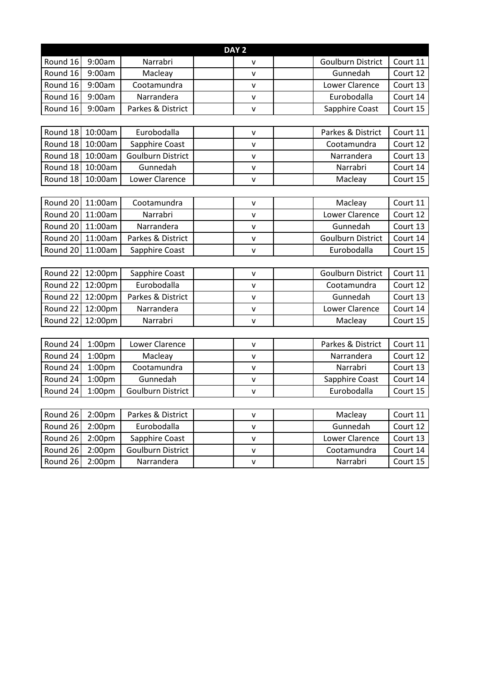| DAY <sub>2</sub> |                    |                          |              |                          |          |  |  |
|------------------|--------------------|--------------------------|--------------|--------------------------|----------|--|--|
| Round 16         | 9:00am             | Narrabri                 | v            | <b>Goulburn District</b> | Court 11 |  |  |
| Round 16         | 9:00am             | Macleay                  | v            | Gunnedah                 | Court 12 |  |  |
| Round 16         | 9:00am             | Cootamundra              | v            | <b>Lower Clarence</b>    | Court 13 |  |  |
| Round 16         | 9:00am             | Narrandera               | v            | Eurobodalla              | Court 14 |  |  |
| Round 16         | 9:00am             | Parkes & District        | v            | Sapphire Coast           | Court 15 |  |  |
|                  |                    |                          |              |                          |          |  |  |
| Round 18         | 10:00am            | Eurobodalla              | $\mathsf{v}$ | Parkes & District        | Court 11 |  |  |
| Round 18         | 10:00am            | Sapphire Coast           | v            | Cootamundra              | Court 12 |  |  |
| Round 18         | 10:00am            | <b>Goulburn District</b> | v            | Narrandera               | Court 13 |  |  |
| Round 18         | 10:00am            | Gunnedah                 | v            | Narrabri                 | Court 14 |  |  |
| Round 18         | 10:00am            | Lower Clarence           | v            | Macleay                  | Court 15 |  |  |
|                  |                    |                          |              |                          |          |  |  |
| Round 20         | 11:00am            | Cootamundra              | $\mathsf{V}$ | Macleay                  | Court 11 |  |  |
| Round 20         | 11:00am            | Narrabri                 | v            | Lower Clarence           | Court 12 |  |  |
| Round 20         | 11:00am            | Narrandera               | v            | Gunnedah                 | Court 13 |  |  |
| Round 20         | 11:00am            | Parkes & District        | v            | <b>Goulburn District</b> | Court 14 |  |  |
| Round 20         | 11:00am            | Sapphire Coast           | v            | Eurobodalla              | Court 15 |  |  |
|                  |                    |                          |              |                          |          |  |  |
| Round 22         | 12:00pm            | Sapphire Coast           | v            | <b>Goulburn District</b> | Court 11 |  |  |
| Round 22         | 12:00pm            | Eurobodalla              | v            | Cootamundra              | Court 12 |  |  |
| Round 22         | 12:00pm            | Parkes & District        | v            | Gunnedah                 | Court 13 |  |  |
| Round 22         | 12:00pm            | Narrandera               | v            | Lower Clarence           | Court 14 |  |  |
| Round 22         | 12:00pm            | Narrabri                 | v            | Macleay                  | Court 15 |  |  |
|                  |                    |                          |              |                          |          |  |  |
| Round 24         | 1:00 <sub>pm</sub> | Lower Clarence           | v            | Parkes & District        | Court 11 |  |  |
| Round 24         | 1:00 <sub>pm</sub> | Macleay                  | v            | Narrandera               | Court 12 |  |  |
| Round 24         | 1:00 <sub>pm</sub> | Cootamundra              | v            | Narrabri                 | Court 13 |  |  |
| Round 24         | 1:00 <sub>pm</sub> | Gunnedah                 | v            | Sapphire Coast           | Court 14 |  |  |
| Round 24         | 1:00 <sub>pm</sub> | <b>Goulburn District</b> | v            | Eurobodalla              | Court 15 |  |  |
|                  |                    |                          |              |                          |          |  |  |
| Round 26         | 2:00 <sub>pm</sub> | Parkes & District        | $\mathsf{V}$ | Macleay                  | Court 11 |  |  |
| Round 26         | 2:00 <sub>pm</sub> | Eurobodalla              | $\mathsf{V}$ | Gunnedah                 | Court 12 |  |  |
| Round 26         | 2:00 <sub>pm</sub> | Sapphire Coast           | v            | Lower Clarence           | Court 13 |  |  |
| Round 26         | 2:00 <sub>pm</sub> | Goulburn District        | v            | Cootamundra              | Court 14 |  |  |
| Round 26         | 2:00 <sub>pm</sub> | Narrandera               | v            | Narrabri                 | Court 15 |  |  |